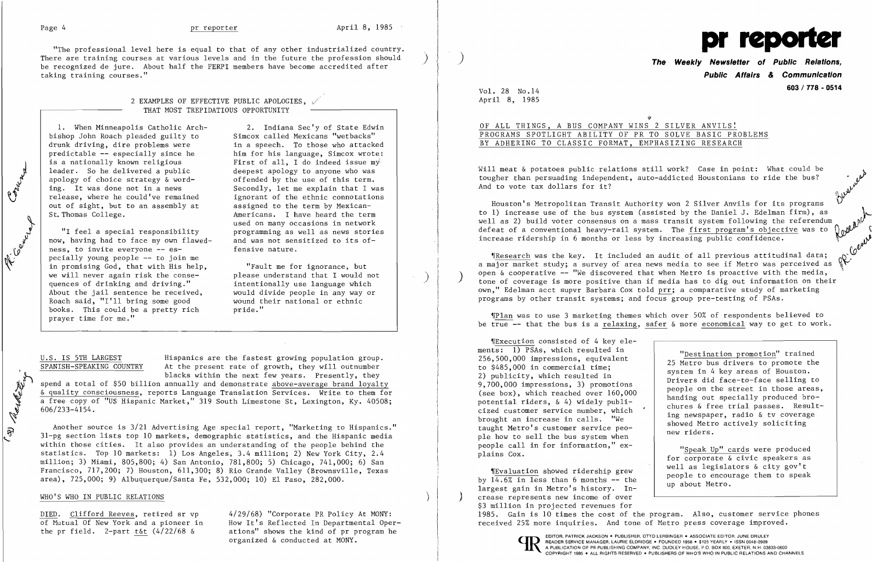El Reg

حكم مصا

لر<br>كان

 $\nu_{\mathcal{L}}$ 

"The professional level here is equal to that of any other industrialized country. pr be recognized de jure. About half the FERPI members have become accredited after taking training courses."

### 2 EXAMPLES OF EFFECTIVE PUBLIC APOLOGIES,  $\sqrt{2}$ THAT MOST TREPIDATIOUS OPPORTUNITY

bishop John Roach pleaded guilty to drunk driving, dire problems were drunk driving, dire problems were in a speech. To those who attacked<br>predictable -- especially since he him for his language, Simcox wrote: predictable -- especially since he him for his language, Simcox wrote:<br>is a nationally known religious First of all, I do indeed issue my is a nationally known religious  $\begin{array}{ccc} \text{First of all, I do indeed issue m\textit{y}}\\ \text{leader. So he delivered a public} \end{array}$  deepest apology to anyone who was apology of choice strategy  $\&$  word-<br>ing. It was done not in a news ing. It was done not in a news Secondly, let me explain that I was<br>release, where he could've remained ignorant of the ethnic connotations out of sight, but to an assembly at assigned to the term by Mexican-<br>St. Thomas College. (Americans. I have heard the term

now, having had to face my own flawed- and was not senseless. to invite everyone -- es- fensive nature. ness, to invite everyone -- especially young people -- to join me in promising God, that with His help,<br>we will never again risk the conse-<br>please understand that I would not we will never again risk the conse-<br>quences of drinking and driving." About the jail sentence he received, would divide people in any way or<br>Roach said, "I'll bring some good wound their national or ethnic Roach said, "I'll bring some good wound the word wound the hooks. This could be a pretty rich wind or ide." books. This could be a pretty rich prayer time for me."

1. When Minneapolis Catholic Arch- 2. Indiana Sec'y of State Edwin<br>ishop John Roach pleaded guilty to Simcox called Mexicans "wetbacks" deepest apology to anyone who was<br>offended by the use of this term. ignorant of the ethnic connotations Americans. I have heard the term used on many occasions in network "I feel a special responsibility  $\qquad$  programming as well as news stories  $\mathbf{x}$ , having had to face my own flawed- and was not sensitized to its of-

intentionally use language which

U.S. IS 5TH LARGEST FRISPANICS are the fastest growing population group.<br>
SPANISH-SPEAKING COUNTRY At the present rate of growth, they will outnumber At the present rate of growth, they will outnumber<br>blacks within the next few years. Presently, they

blacks within the next few years. Presently, they<br>spend a total of \$50 billion annually and demonstrate above-average brand loyals<br>& quality consciousness, reports Language Translation Services. Write to them spend a total of \$50 billion annually and demonstrate above-average brand loyalty blacks within the next few years. Presently, they<br>spend a total of \$50 billion annually and demonstrate above-average brand loyalty<br>a quality consciousness, reports Language Translation Services. Write to them for<br>a free c & quality consciousness, reports Language Translation Services. Write to them for<br>a free copy of "US Hispanic Market," 319 South Limestone St, Lexington, Ky. 40508;<br>606/233-4154. a free copy of "US Hispanic Market," 319 South Limestone St, Lexington, Ky. 40508; 606/233-4154.

Another source is 3/21 Advertising Age special report, "Marketing to Hispanics."  $31$ -pg section lists top 10 markets, demographic statistics, and the Hispanic media within those cities. It also provides an understanding of the people behind the statistics. Top 10 markets: 1) Los Angeles, 3.4 million; 2) New York City, 2.4 million; 3) Miami, 805,800; 4) San Antonio, 781,800; 5) Chicago, 741,000; 6) San Francisco, 717,200; 7) Houston, 611,300; 8) Rio Grande Valley (Brownsville, Texas area), 725,000; 9) Albuquerque/Santa Fe, 532,000; 10) El Paso, 282,000.

*IResearch was the key.* It included an audit of all previous attitudinal data; a major market study; a survey of area news media to see if Metro was perceived as open & cooperative -- "We discovered that when Metro is proactive with the media,  $t$ one of coverage is more positive than if media has to dig out information on their own," Edelman acct supvr Barbara Cox told prr; a comparative study of marketing programs by other transit systems; and focus group pre-testing of PSAs.

,[Plan was to use 3 marketing themes which over 50% of respondents believed to be true  $-$  that the bus is a relaxing, safer & more economical way to get to work.

TExecution consisted of 4 key elements: 1) PSAs, which resulted in 256,500,000 impressions, equivalent to \$485,000 in commercial time; 2) publicity, which resulted in 9,700,000 impressions, 3) promotions (see box), which reached over 160,000 potential riders, & 4) widely publicized customer service number, which brought an increase in calls. "We taught Metro's customer service people how to sell the bus system when people call in for information," explains Cox.

'[Evaluation showed ridership grew by  $14.6\%$  in less than 6 months  $-$  the largest gain in Metro's history. In ) ) crease represents new income of over people to encourage them to speak up about Metro. \$3 million in projected revenues for DIED. Clifford Reeves, retired sr vp 4/29/68) "Corporate PR Policy At MONY:<br>
Of Mutual Of New York and a pioneer in Mow It's Reflected In Departmental Oper-<br>
Peceived 25% more inquiries. And tone of Metro press coverage im



bv<br>V

### WHO'S WHO IN PUBLIC RELATIONS

of Mutual Of New York and a pioneer in How It's Reflected In Departmental Oper-<br>the pr field. 2-part t&t (4/22/68 & ations" shows the kind of pr program he ations" shows the kind of pr program he organized & conducted at MONY. The service organized & conducted at MONY.

**The Weekly Newsletter of Public Relations, Public Affairs** *&* **Communication**  Vol. 28 No .14 **603/778 - <sup>0514</sup>**

April 8, 1985

### OF ALL THINGS, A BUS COMPANY WINS 2 SILVER ANVILS! PROGRAMS SPOTLIGHT ABILITY OF PR TO SOLVE BASIC PROBLEMS BY ADHERING TO CLASSIC FORMAT, EMPHASIZING RESEARCH

Will meat & potatoes public relations still work? Case in point: What could be<br>tougher than persuading independent, auto-addicted Houstonians to ride the bus?<br>And to vote tax dollars for it?

Houston's Metropolitan Transit Authority won 2 Silver Anvils for its programs to 1) increase use of the bus system (assisted by the Daniel J. Edelman firm), as<br>well as 2) build voter consensus on a mass transit system following the referendum defeat of a conventional heavy-rail system. The first program's objective was to increase ridership in 6 months or less by increasing public confidence. \,

> "Destination promotion" trained 25 Metro bus drivers to promote the system in 4 key areas of Houston. Drivers did face-to-face selling to people on the street in those areas, handing out specially produced brochures & free trial passes. Resulting newspaper, radio & tv coverage showed Metro actively soliciting new riders.

"Speak Up" cards were produced for corporate & civic speakers as well as legislators & city gov't